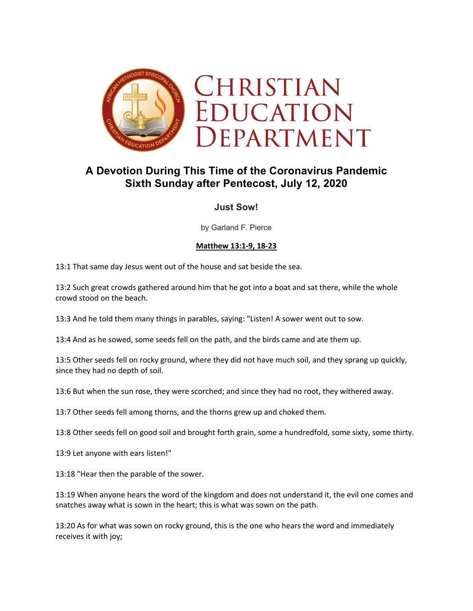

# **A Devotion During This Time of the Coronavirus Pandemic Sixth Sunday after Pentecost, July 12, 2020**

## **Just Sow!**

by Garland F. Pierce

## **Matthew 13:1-9, 18-23**

13:1 That same day Jesus went out of the house and sat beside the sea.

13:2 Such great crowds gathered around him that he got into a boat and sat there, while the whole crowd stood on the beach.

13:3 And he told them many things in parables, saying: "Listen! A sower went out to sow.

13:4 And as he sowed, some seeds fell on the path, and the birds came and ate them up.

13:5 Other seeds fell on rocky ground, where they did not have much soil, and they sprang up quickly, since they had no depth of soil.

13:6 But when the sun rose, they were scorched; and since they had no root, they withered away.

13:7 Other seeds fell among thorns, and the thorns grew up and choked them.

13:8 Other seeds fell on good soil and brought forth grain, some a hundredfold, some sixty, some thirty.

13:9 Let anyone with ears listen!"

13:18 "Hear then the parable of the sower.

13:19 When anyone hears the word of the kingdom and does not understand it, the evil one comes and snatches away what is sown in the heart; this is what was sown on the path.

13:20 As for what was sown on rocky ground, this is the one who hears the word and immediately receives it with joy;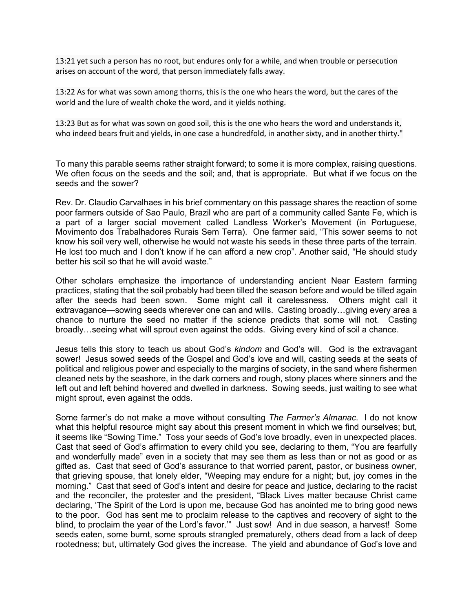13:21 yet such a person has no root, but endures only for a while, and when trouble or persecution arises on account of the word, that person immediately falls away.

13:22 As for what was sown among thorns, this is the one who hears the word, but the cares of the world and the lure of wealth choke the word, and it yields nothing.

13:23 But as for what was sown on good soil, this is the one who hears the word and understands it, who indeed bears fruit and yields, in one case a hundredfold, in another sixty, and in another thirty."

To many this parable seems rather straight forward; to some it is more complex, raising questions. We often focus on the seeds and the soil; and, that is appropriate. But what if we focus on the seeds and the sower?

Rev. Dr. Claudio Carvalhaes in his brief commentary on this passage shares the reaction of some poor farmers outside of Sao Paulo, Brazil who are part of a community called Sante Fe, which is a part of a larger social movement called Landless Worker's Movement (in Portuguese, Movimento dos Trabalhadores Rurais Sem Terra). One farmer said, "This sower seems to not know his soil very well, otherwise he would not waste his seeds in these three parts of the terrain. He lost too much and I don't know if he can afford a new crop". Another said, "He should study better his soil so that he will avoid waste."

Other scholars emphasize the importance of understanding ancient Near Eastern farming practices, stating that the soil probably had been tilled the season before and would be tilled again after the seeds had been sown. Some might call it carelessness. Others might call it extravagance—sowing seeds wherever one can and wills. Casting broadly…giving every area a chance to nurture the seed no matter if the science predicts that some will not. Casting broadly…seeing what will sprout even against the odds. Giving every kind of soil a chance.

Jesus tells this story to teach us about God's *kindom* and God's will. God is the extravagant sower! Jesus sowed seeds of the Gospel and God's love and will, casting seeds at the seats of political and religious power and especially to the margins of society, in the sand where fishermen cleaned nets by the seashore, in the dark corners and rough, stony places where sinners and the left out and left behind hovered and dwelled in darkness. Sowing seeds, just waiting to see what might sprout, even against the odds.

Some farmer's do not make a move without consulting *The Farmer's Almanac*. I do not know what this helpful resource might say about this present moment in which we find ourselves; but, it seems like "Sowing Time." Toss your seeds of God's love broadly, even in unexpected places. Cast that seed of God's affirmation to every child you see, declaring to them, "You are fearfully and wonderfully made" even in a society that may see them as less than or not as good or as gifted as. Cast that seed of God's assurance to that worried parent, pastor, or business owner, that grieving spouse, that lonely elder, "Weeping may endure for a night; but, joy comes in the morning." Cast that seed of God's intent and desire for peace and justice, declaring to the racist and the reconciler, the protester and the president, "Black Lives matter because Christ came declaring, 'The Spirit of the Lord is upon me, because God has anointed me to bring good news to the poor. God has sent me to proclaim release to the captives and recovery of sight to the blind, to proclaim the year of the Lord's favor.'" Just sow! And in due season, a harvest! Some seeds eaten, some burnt, some sprouts strangled prematurely, others dead from a lack of deep rootedness; but, ultimately God gives the increase. The yield and abundance of God's love and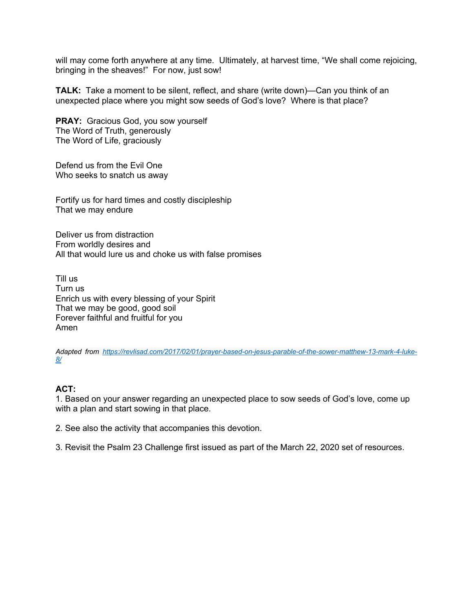will may come forth anywhere at any time. Ultimately, at harvest time, "We shall come rejoicing, bringing in the sheaves!" For now, just sow!

**TALK:** Take a moment to be silent, reflect, and share (write down)—Can you think of an unexpected place where you might sow seeds of God's love? Where is that place?

**PRAY:** Gracious God, you sow yourself The Word of Truth, generously The Word of Life, graciously

Defend us from the Evil One Who seeks to snatch us away

Fortify us for hard times and costly discipleship That we may endure

Deliver us from distraction From worldly desires and All that would lure us and choke us with false promises

Till us Turn us Enrich us with every blessing of your Spirit That we may be good, good soil Forever faithful and fruitful for you Amen

*Adapted from https://revlisad.com/2017/02/01/prayer-based-on-jesus-parable-of-the-sower-matthew-13-mark-4-luke-8/*

#### **ACT:**

1. Based on your answer regarding an unexpected place to sow seeds of God's love, come up with a plan and start sowing in that place.

2. See also the activity that accompanies this devotion.

3. Revisit the Psalm 23 Challenge first issued as part of the March 22, 2020 set of resources.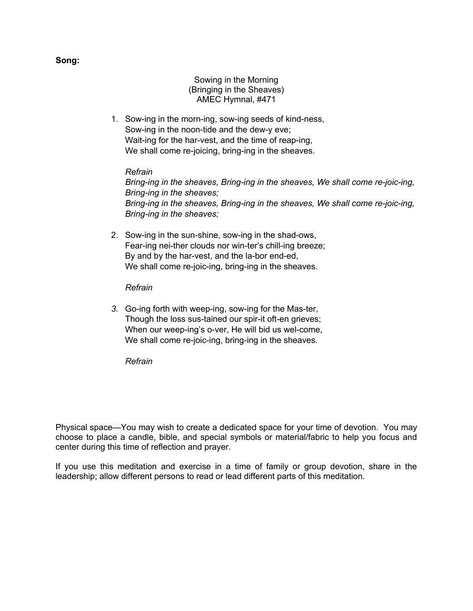Sowing in the Morning (Bringing in the Sheaves) AMEC Hymnal, #471

1. Sow-ing in the morn-ing, sow-ing seeds of kind-ness, Sow-ing in the noon-tide and the dew-y eve; Wait-ing for the har-vest, and the time of reap-ing, We shall come re-joicing, bring-ing in the sheaves.

### *Refrain*

*Bring-ing in the sheaves, Bring-ing in the sheaves, We shall come re-joic-ing, Bring-ing in the sheaves; Bring-ing in the sheaves, Bring-ing in the sheaves, We shall come re-joic-ing, Bring-ing in the sheaves;*

2. Sow-ing in the sun-shine, sow-ing in the shad-ows, Fear-ing nei-ther clouds nor win-ter's chill-ing breeze; By and by the har-vest, and the la-bor end-ed, We shall come re-joic-ing, bring-ing in the sheaves.

*Refrain*

*3.* Go-ing forth with weep-ing, sow-ing for the Mas-ter, Though the loss sus-tained our spir-it oft-en grieves; When our weep-ing's o-ver, He will bid us wel-come, We shall come re-joic-ing, bring-ing in the sheaves.

*Refrain*

Physical space—You may wish to create a dedicated space for your time of devotion. You may choose to place a candle, bible, and special symbols or material/fabric to help you focus and center during this time of reflection and prayer.

If you use this meditation and exercise in a time of family or group devotion, share in the leadership; allow different persons to read or lead different parts of this meditation.

**Song:**